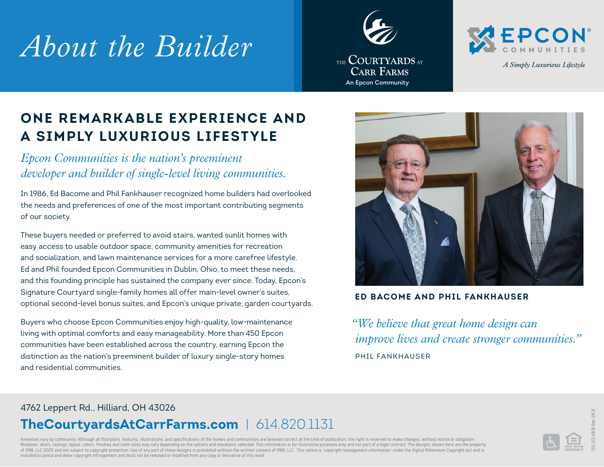# *About the Builder*





A Simply Luxurious Lifestyle

## **ONE REMARK ABLE EXPERIENCE AND A SIMPLY LUXURIOUS LIFESTYLE**

*Epcon Communities is the nation's preeminent developer and builder of single-level living communities.* 

In 1986, Ed Bacome and Phil Fankhauser recognized home builders had overlooked the needs and preferences of one of the most important contributing segments of our society.

These buyers needed or preferred to avoid stairs, wanted sunlit homes with easy access to usable outdoor space, community amenities for recreation and socialization, and lawn maintenance services for a more carefree lifestyle. Ed and Phil founded Epcon Communities in Dublin, Ohio, to meet these needs, and this founding principle has sustained the company ever since. Today, Epcon's Signature Courtyard single-family homes all offer main-level owner's suites, optional second-level bonus suites, and Epcon's unique private, garden courtyards.

Buyers who choose Epcon Communities enjoy high-quality, low-maintenance living with optimal comforts and easy manageability. More than 450 Epcon communities have been established across the country, earning Epcon the distinction as the nation's preeminent builder of luxury single-story homes and residential communities.



#### **ED BACOME AND PHIL FANKHAUSER**

*"We believe that great home design can improve lives and create stronger communities."* PHIL FANKHAUSER

#### 4762 Leppert Rd., Hilliard, OH 43026 **TheCourtyardsAtCarrFarms.com** | 614.820.1131

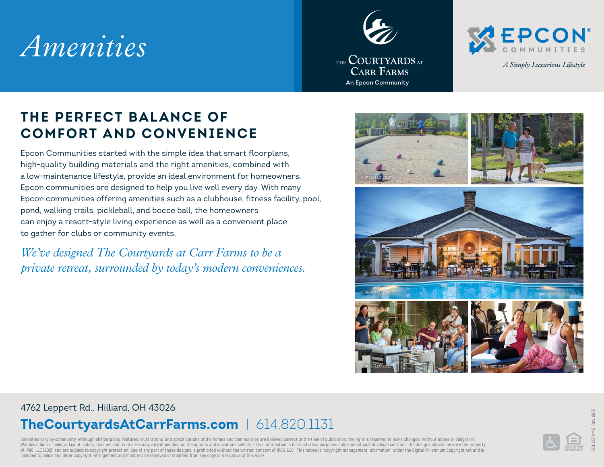# *Amenities*





A Simply Luxurious Lifestyle

### **THE PERFECT BALANCE OF COMFORT AND CONVENIENCE**

Epcon Communities started with the simple idea that smart floorplans, high-quality building materials and the right amenities, combined with a low-maintenance lifestyle, provide an ideal environment for homeowners. Epcon communities are designed to help you live well every day. With many Epcon communities offering amenities such as a clubhouse, fitness facility, pool, pond, walking trails, pickleball, and bocce ball, the homeowners can enjoy a resort-style living experience as well as a convenient place to gather for clubs or community events.

*We've designed The Courtyards at Carr Farms to be a private retreat, surrounded by today's modern conveniences.*



#### 4762 Leppert Rd., Hilliard, OH 43026

### **TheCourtyardsAtCarrFarms.com** | 614.820.1131

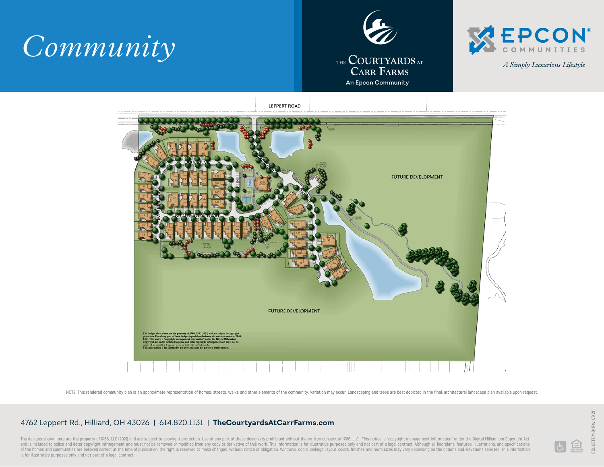





A Simply Luxurious Lifestyle



NOTE: This rendered community plan is an approximate representation of homes, streets, walks and other elements of the community. Variation may occur. Landscaping and trees are best depicted in the final, architectural lan

#### 4762 Leppert Rd., Hilliard, OH 43026 | 614.820.1131 | **TheCourtyardsAtCarrFarms.com**

The designs shown here are the property of IP86, LLC (2021) and are subject to copyright protection. Use of any part of these designs is prohibited without the written consent of IP86, LLC. This notice is "copyright manage and is included to police and deter copyright infringement and must not be removed or modified from any copy or derivative of this work. This information is for illustrative purposes only and not part of a legal contract. of the homes and communities are believed correct at the time of publication, the right is reserved to make changes, without notice or obligation. Windows, doors, ceilings, layout, colors, finishes and room sizes may vary is for illustrative purposes only and not part of a legal contract.

 $\blacksquare$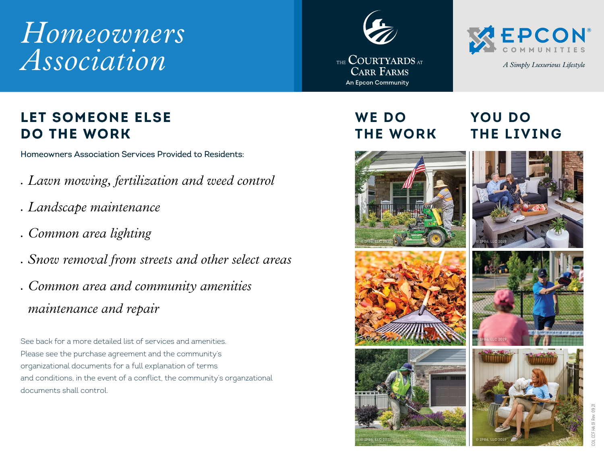# *Homeowners Association*

## THE **COURTYARDS** AT **CARR FARMS** An Epcon Community

**WE DO** 



### **LET SOMEONE ELSE DO THE WORK**

Homeowners Association Services Provided to Residents:

- *• Lawn mowing, fertilization and weed control*
- *• Landscape maintenance*
- *• Common area lighting*
- *• Snow removal from streets and other select areas*
- *• Common area and community amenities maintenance and repair*

See back for a more detailed list of services and amenities. Please see the purchase agreement and the community's organizational documents for a full explanation of terms and conditions, in the event of a conflict, the community's organzational documents shall control.













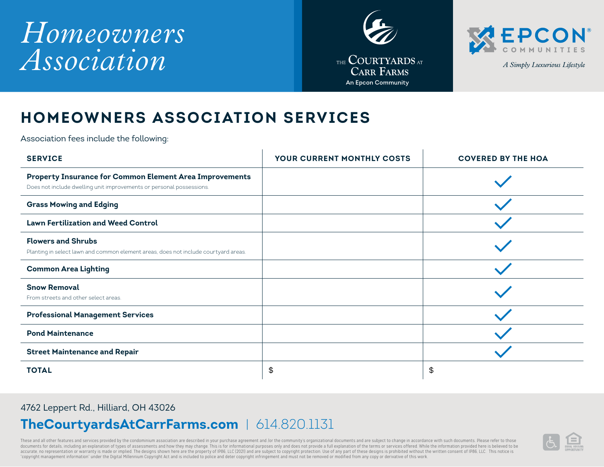# *Homeowners Association*





A Simply Luxurious Lifestyle

### **HOMEOWNERS ASSOCIATION SERVICES**

Association fees include the following:

| <b>SERVICE</b>                                                                                                                         | YOUR CURRENT MONTHLY COSTS | <b>COVERED BY THE HOA</b> |
|----------------------------------------------------------------------------------------------------------------------------------------|----------------------------|---------------------------|
| <b>Property Insurance for Common Element Area Improvements</b><br>Does not include dwelling unit improvements or personal possessions. |                            |                           |
| <b>Grass Mowing and Edging</b>                                                                                                         |                            |                           |
| <b>Lawn Fertilization and Weed Control</b>                                                                                             |                            |                           |
| <b>Flowers and Shrubs</b><br>Planting in select lawn and common element areas, does not include courtyard areas.                       |                            |                           |
| <b>Common Area Lighting</b>                                                                                                            |                            |                           |
| <b>Snow Removal</b><br>From streets and other select areas.                                                                            |                            |                           |
| <b>Professional Management Services</b>                                                                                                |                            |                           |
| <b>Pond Maintenance</b>                                                                                                                |                            |                           |
| <b>Street Maintenance and Repair</b>                                                                                                   |                            |                           |
| <b>TOTAL</b>                                                                                                                           | \$                         | \$                        |

#### 4762 Leppert Rd., Hilliard, OH 43026

#### **TheCourtyardsAtCarrFarms.com** | 614.820.1131

These and all other features and services provided by the condominium association are described in your purchase agreement and /or the community's organizational documents and are subject to change in accordance with such accurate, no representation or warranty is made or implied. The designs shown here are the property of IP86, LLC (2021) and are subject to copyright protection. Use of any part of these designs is prohibited without the wr "copyright management information" under the Digital Millennium Copyright Act and is included to police and deter copyright infringement and must not be removed or modified from any copy or derivative of this work.

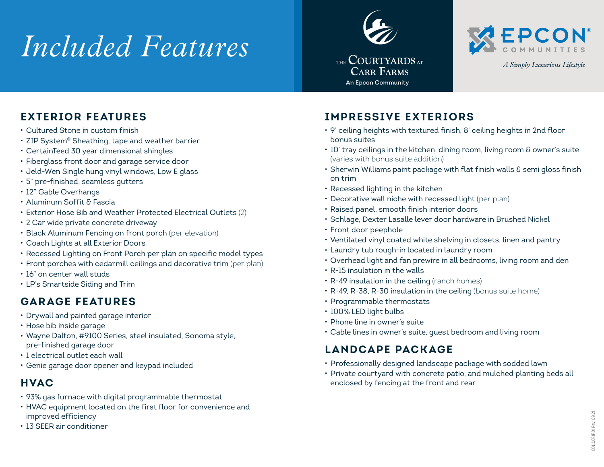# *Included Features*





A Simply Luxurious Lifestyle

#### **EXTERIOR FEATURES**

- *•* Cultured Stone in custom finish
- *•* ZIP System® Sheathing, tape and weather barrier
- *•* CertainTeed 30 year dimensional shingles
- *•* Fiberglass front door and garage service door
- *•* Jeld-Wen Single hung vinyl windows, Low E glass
- *•* 5" pre-finished, seamless gutters
- *•* 12" Gable Overhangs
- *•* Aluminum Soffit & Fascia
- *•* Exterior Hose Bib and Weather Protected Electrical Outlets (2)
- *•* 2 Car wide private concrete driveway
- *•* Black Aluminum Fencing on front porch (per elevation)
- *•* Coach Lights at all Exterior Doors
- *•* Recessed Lighting on Front Porch per plan on specific model types
- *•* Front porches with cedarmill ceilings and decorative trim (per plan)
- *•* 16" on center wall studs
- *•* LP's Smartside Siding and Trim

#### **GARAGE FEATURES**

- *•* Drywall and painted garage interior
- *•* Hose bib inside garage
- *•* Wayne Dalton, #9100 Series, steel insulated, Sonoma style, pre-finished garage door
- *•* 1 electrical outlet each wall
- *•* Genie garage door opener and keypad included

#### **HVAC**

- *•* 93% gas furnace with digital programmable thermostat
- *•* HVAC equipment located on the first floor for convenience and improved efficiency
- *•* 13 SEER air conditioner

#### **IMPRESSIVE EXTERIORS**

- *•* 9' ceiling heights with textured finish, 8' ceiling heights in 2nd floor bonus suites
- *•* 10' tray ceilings in the kitchen, dining room, living room & owner's suite (varies with bonus suite addition)
- *•* Sherwin Williams paint package with flat finish walls & semi gloss finish on trim
- *•* Recessed lighting in the kitchen
- *•* Decorative wall niche with recessed light (per plan)
- *•* Raised panel, smooth finish interior doors
- *•* Schlage, Dexter Lasalle lever door hardware in Brushed Nickel
- *•* Front door peephole
- *•* Ventilated vinyl coated white shelving in closets, linen and pantry
- *•* Laundry tub rough-in located in laundry room
- *•* Overhead light and fan prewire in all bedrooms, living room and den
- *•* R-15 insulation in the walls
- *•* R-49 insulation in the ceiling (ranch homes)
- *•* R-49, R-38, R-30 insulation in the ceiling (bonus suite home)
- *•* Programmable thermostats
- *•* 100% LED light bulbs
- *•* Phone line in owner's suite
- *•* Cable lines in owner's suite, guest bedroom and living room

#### **LANDCAPE PACKAGE**

- *•* Professionally designed landscape package with sodded lawn
- *•* Private courtyard with concrete patio, and mulched planting beds all enclosed by fencing at the front and rear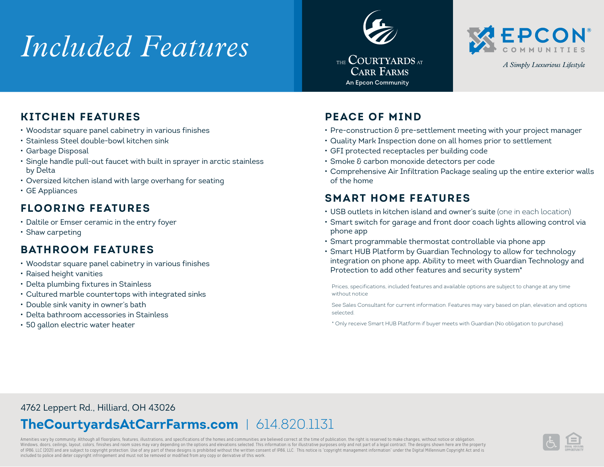# *Included Features*





A Simply Luxurious Lifestyle

#### **KITCHEN FEATURES**

- *•* Woodstar square panel cabinetry in various finishes
- *•* Stainless Steel double-bowl kitchen sink
- *•* Garbage Disposal
- *•* Single handle pull-out faucet with built in sprayer in arctic stainless by Delta
- *•* Oversized kitchen island with large overhang for seating
- *•* GE Appliances

#### **FLOORING FEATURES**

- *•* Daltile or Emser ceramic in the entry foyer
- *•* Shaw carpeting

#### **BATHROOM FEATURES**

- *•* Woodstar square panel cabinetry in various finishes
- *•* Raised height vanities
- *•* Delta plumbing fixtures in Stainless
- *•* Cultured marble countertops with integrated sinks
- *•* Double sink vanity in owner's bath
- *•* Delta bathroom accessories in Stainless
- *•* 50 gallon electric water heater

#### **PEACE OF MIND**

- *•* Pre-construction & pre-settlement meeting with your project manager
- *•* Quality Mark Inspection done on all homes prior to settlement
- *•* GFI protected receptacles per building code
- *•* Smoke & carbon monoxide detectors per code
- *•* Comprehensive Air Infiltration Package sealing up the entire exterior walls of the home

#### **SMART HOME FEATURES**

- *•* USB outlets in kitchen island and owner's suite (one in each location)
- *•* Smart switch for garage and front door coach lights allowing control via phone app
- *•* Smart programmable thermostat controllable via phone app
- *•* Smart HUB Platform by Guardian Technology to allow for technology integration on phone app. Ability to meet with Guardian Technology and Protection to add other features and security system\*

Prices, specifications, included features and available options are subject to change at any time without notice

See Sales Consultant for current information. Features may vary based on plan, elevation and options selected.

\* Only receive Smart HUB Platform if buyer meets with Guardian (No obligation to purchase).

#### 4762 Leppert Rd., Hilliard, OH 43026

## **TheCourtyardsAtCarrFarms.com** | 614.820.1131